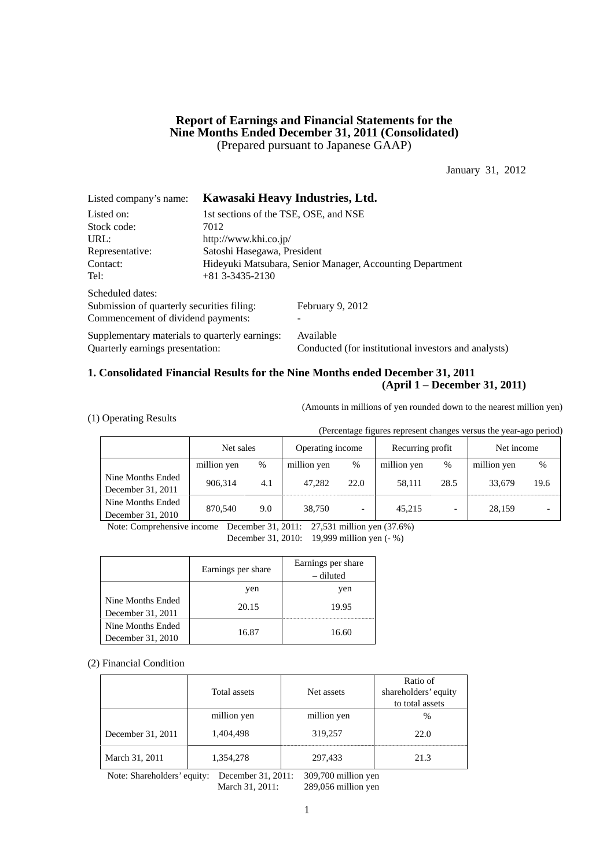### **Report of Earnings and Financial Statements for the Nine Months Ended December 31, 2011 (Consolidated)**  (Prepared pursuant to Japanese GAAP)

January 31, 2012

| Listed company's name:                         |                                                           | Kawasaki Heavy Industries, Ltd.                      |  |  |  |  |
|------------------------------------------------|-----------------------------------------------------------|------------------------------------------------------|--|--|--|--|
| Listed on:                                     | 1st sections of the TSE, OSE, and NSE                     |                                                      |  |  |  |  |
| Stock code:                                    | 7012                                                      |                                                      |  |  |  |  |
| URL:                                           | http://www.khi.co.jp/                                     |                                                      |  |  |  |  |
| Representative:                                | Satoshi Hasegawa, President                               |                                                      |  |  |  |  |
| Contact:                                       | Hideyuki Matsubara, Senior Manager, Accounting Department |                                                      |  |  |  |  |
| Tel:                                           | $+81$ 3-3435-2130                                         |                                                      |  |  |  |  |
| Scheduled dates:                               |                                                           |                                                      |  |  |  |  |
| Submission of quarterly securities filing:     |                                                           | February 9, 2012                                     |  |  |  |  |
| Commencement of dividend payments:             |                                                           |                                                      |  |  |  |  |
| Supplementary materials to quarterly earnings: |                                                           | Available                                            |  |  |  |  |
| Quarterly earnings presentation:               |                                                           | Conducted (for institutional investors and analysts) |  |  |  |  |

### **1. Consolidated Financial Results for the Nine Months ended December 31, 2011 (April 1 – December 31, 2011)**

(Amounts in millions of yen rounded down to the nearest million yen)

| (1) Operating Results |
|-----------------------|
|-----------------------|

(Percentage figures represent changes versus the year-ago period)

|                                        | Net sales   |     | Operating income |                          | Recurring profit |      | Net income  |      |
|----------------------------------------|-------------|-----|------------------|--------------------------|------------------|------|-------------|------|
|                                        | million yen | %   | million yen      | $\%$                     | million yen      | $\%$ | million yen | %    |
| Nine Months Ended<br>December 31, 2011 | 906.314     | 4.1 | 47.282           | 22.0                     | 58.111           | 28.5 | 33,679      | 19.6 |
| Nine Months Ended<br>December 31, 2010 | 870,540     | 9.0 | 38.750           | $\overline{\phantom{0}}$ | 45,215           |      | 28.159      |      |

Note: Comprehensive income December 31, 2011: 27,531 million yen (37.6%)

December 31, 2010: 19,999 million yen (- %)

|                                        | Earnings per share | Earnings per share<br>– diluted |
|----------------------------------------|--------------------|---------------------------------|
|                                        | yen                | yen                             |
| Nine Months Ended<br>December 31, 2011 | 20.15              | 19.95                           |
| Nine Months Ended<br>December 31, 2010 | 16.87              | 16.60                           |

#### (2) Financial Condition

|                   | Total assets | Net assets  | Ratio of<br>shareholders' equity<br>to total assets |
|-------------------|--------------|-------------|-----------------------------------------------------|
|                   | million yen  | million yen | $\frac{0}{0}$                                       |
| December 31, 2011 | 1,404,498    | 319,257     | 22.0                                                |
| March 31, 2011    | 1,354,278    | 297,433     | 21.3                                                |

Note: Shareholders' equity: December 31, 2011: 309,700 million yen March 31, 2011: 289,056 million yen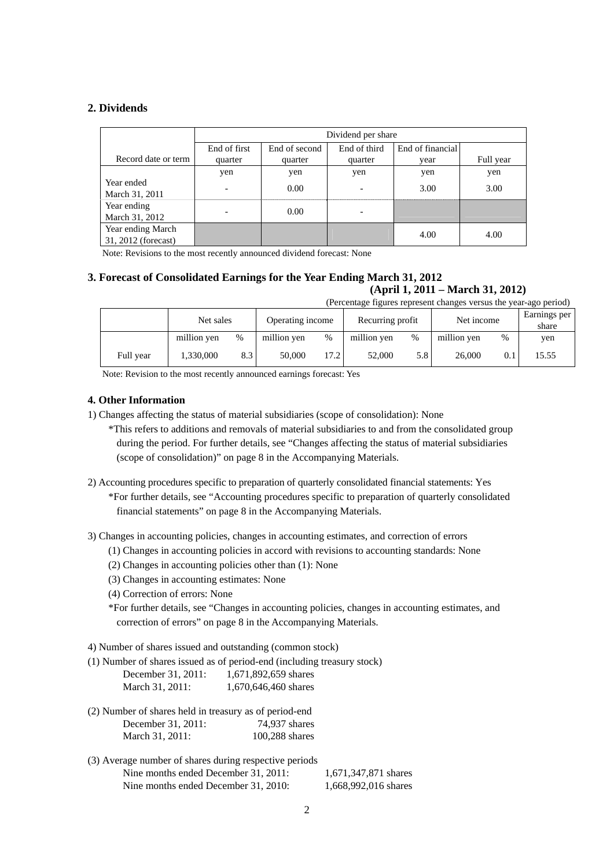### **2. Dividends**

|                                          |                          | Dividend per share |              |                  |           |  |  |  |
|------------------------------------------|--------------------------|--------------------|--------------|------------------|-----------|--|--|--|
|                                          | End of first             | End of second      | End of third | End of financial |           |  |  |  |
| Record date or term                      | quarter                  | quarter            | quarter      | vear             | Full year |  |  |  |
|                                          | yen                      | yen                | yen          | yen              | yen       |  |  |  |
| Year ended<br>March 31, 2011             | $\overline{\phantom{0}}$ | 0.00               | ۰            | 3.00             | 3.00      |  |  |  |
| Year ending<br>March 31, 2012            | $\overline{\phantom{0}}$ | 0.00               |              |                  |           |  |  |  |
| Year ending March<br>31, 2012 (forecast) |                          |                    |              | 4.00             | 4.00      |  |  |  |

Note: Revisions to the most recently announced dividend forecast: None

### **3. Forecast of Consolidated Earnings for the Year Ending March 31, 2012 (April 1, 2011 – March 31, 2012)**

(Percentage figures represent changes versus the year-ago period)

|           | Net sales   |     | Operating income |      | Net income<br>Recurring profit |      |             | Earnings per<br>share |       |
|-----------|-------------|-----|------------------|------|--------------------------------|------|-------------|-----------------------|-------|
|           | million yen | %   | million yen      | $\%$ | million yen                    | $\%$ | million yen | %                     | yen   |
| Full year | .330,000    | 8.3 | 50,000           | 17.2 | 52,000                         | 5.8  | 26,000      | 0.1                   | 15.55 |

Note: Revision to the most recently announced earnings forecast: Yes

## **4. Other Information**

- 1) Changes affecting the status of material subsidiaries (scope of consolidation): None
	- \*This refers to additions and removals of material subsidiaries to and from the consolidated group during the period. For further details, see "Changes affecting the status of material subsidiaries (scope of consolidation)" on page 8 in the Accompanying Materials.
- 2) Accounting procedures specific to preparation of quarterly consolidated financial statements: Yes \*For further details, see "Accounting procedures specific to preparation of quarterly consolidated financial statements" on page 8 in the Accompanying Materials.

3) Changes in accounting policies, changes in accounting estimates, and correction of errors

- (1) Changes in accounting policies in accord with revisions to accounting standards: None
- (2) Changes in accounting policies other than (1): None
- (3) Changes in accounting estimates: None
- (4) Correction of errors: None

\*For further details, see "Changes in accounting policies, changes in accounting estimates, and correction of errors" on page 8 in the Accompanying Materials.

4) Number of shares issued and outstanding (common stock)

(1) Number of shares issued as of period-end (including treasury stock)

| December 31, 2011: | 1,671,892,659 shares |
|--------------------|----------------------|
| March 31, 2011:    | 1,670,646,460 shares |

- (2) Number of shares held in treasury as of period-end December 31, 2011: 74,937 shares March 31, 2011: 100,288 shares
- (3) Average number of shares during respective periods Nine months ended December 31, 2011: 1,671,347,871 shares Nine months ended December 31, 2010: 1,668,992,016 shares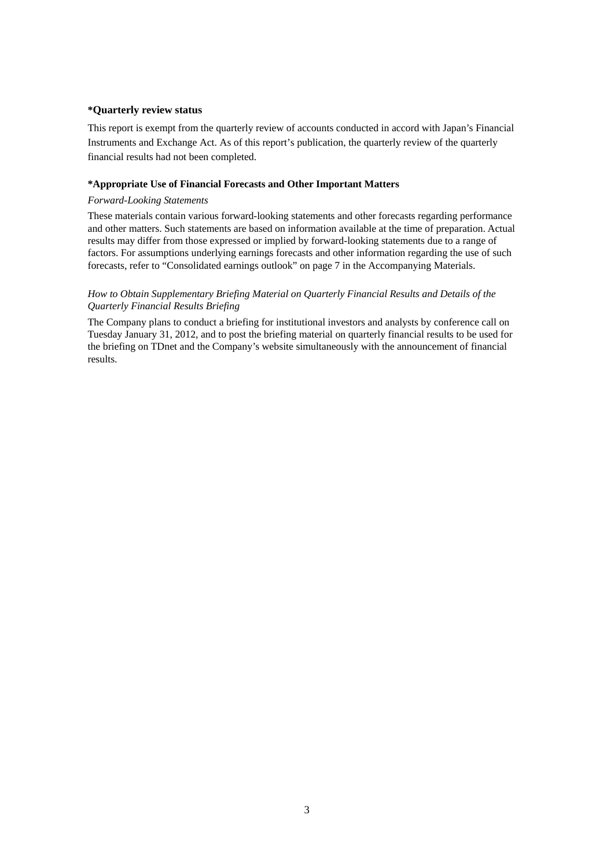#### **\*Quarterly review status**

This report is exempt from the quarterly review of accounts conducted in accord with Japan's Financial Instruments and Exchange Act. As of this report's publication, the quarterly review of the quarterly financial results had not been completed.

#### **\*Appropriate Use of Financial Forecasts and Other Important Matters**

#### *Forward-Looking Statements*

These materials contain various forward-looking statements and other forecasts regarding performance and other matters. Such statements are based on information available at the time of preparation. Actual results may differ from those expressed or implied by forward-looking statements due to a range of factors. For assumptions underlying earnings forecasts and other information regarding the use of such forecasts, refer to "Consolidated earnings outlook" on page 7 in the Accompanying Materials.

### *How to Obtain Supplementary Briefing Material on Quarterly Financial Results and Details of the Quarterly Financial Results Briefing*

The Company plans to conduct a briefing for institutional investors and analysts by conference call on Tuesday January 31, 2012, and to post the briefing material on quarterly financial results to be used for the briefing on TDnet and the Company's website simultaneously with the announcement of financial results.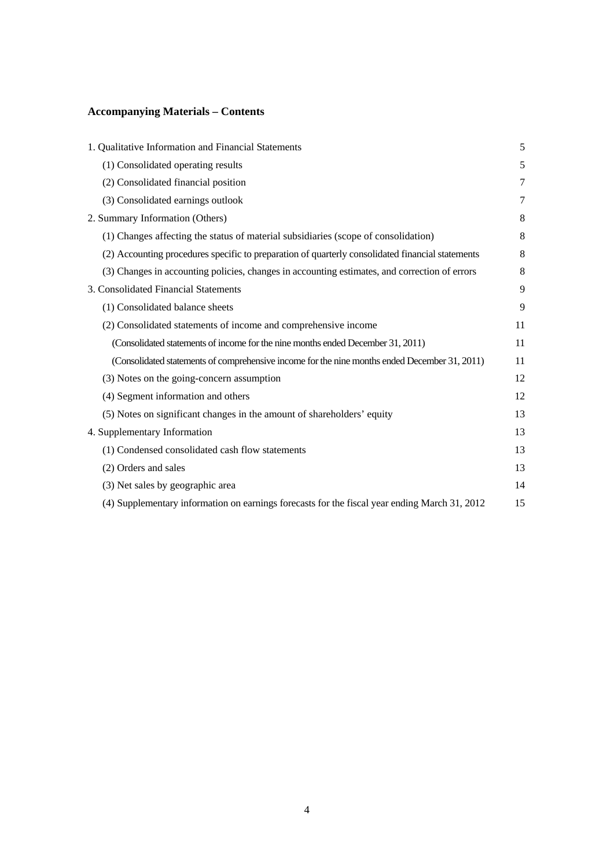# **Accompanying Materials – Contents**

| 1. Qualitative Information and Financial Statements                                              | 5  |
|--------------------------------------------------------------------------------------------------|----|
| (1) Consolidated operating results                                                               | 5  |
| (2) Consolidated financial position                                                              | 7  |
| (3) Consolidated earnings outlook                                                                | 7  |
| 2. Summary Information (Others)                                                                  | 8  |
| (1) Changes affecting the status of material subsidiaries (scope of consolidation)               | 8  |
| (2) Accounting procedures specific to preparation of quarterly consolidated financial statements | 8  |
| (3) Changes in accounting policies, changes in accounting estimates, and correction of errors    | 8  |
| 3. Consolidated Financial Statements                                                             | 9  |
| (1) Consolidated balance sheets                                                                  | 9  |
| (2) Consolidated statements of income and comprehensive income                                   | 11 |
| (Consolidated statements of income for the nine months ended December 31, 2011)                  | 11 |
| (Consolidated statements of comprehensive income for the nine months ended December 31, 2011)    | 11 |
| (3) Notes on the going-concern assumption                                                        | 12 |
| (4) Segment information and others                                                               | 12 |
| (5) Notes on significant changes in the amount of shareholders' equity                           | 13 |
| 4. Supplementary Information                                                                     | 13 |
| (1) Condensed consolidated cash flow statements                                                  | 13 |
| (2) Orders and sales                                                                             | 13 |
| (3) Net sales by geographic area                                                                 | 14 |
| (4) Supplementary information on earnings forecasts for the fiscal year ending March 31, 2012    | 15 |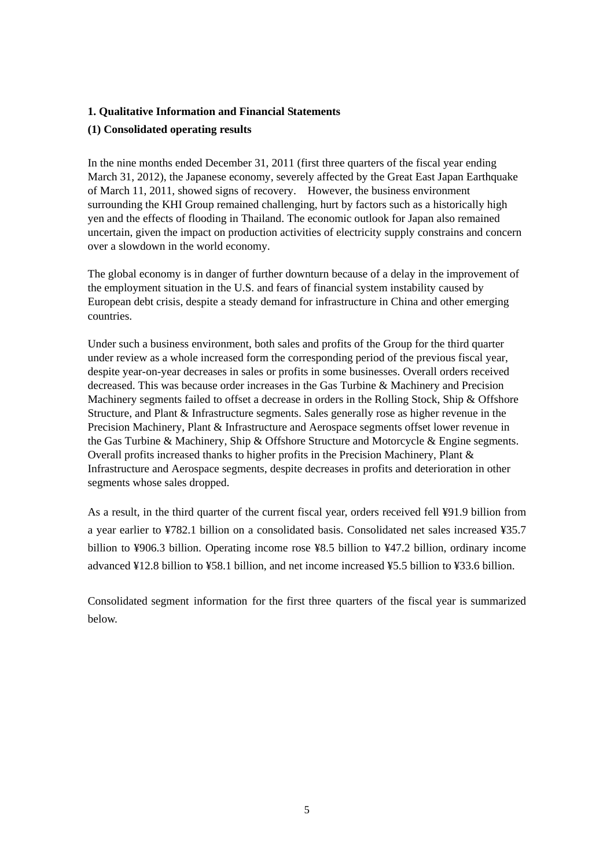### **1. Qualitative Information and Financial Statements**

### **(1) Consolidated operating results**

In the nine months ended December 31, 2011 (first three quarters of the fiscal year ending March 31, 2012), the Japanese economy, severely affected by the Great East Japan Earthquake of March 11, 2011, showed signs of recovery. However, the business environment surrounding the KHI Group remained challenging, hurt by factors such as a historically high yen and the effects of flooding in Thailand. The economic outlook for Japan also remained uncertain, given the impact on production activities of electricity supply constrains and concern over a slowdown in the world economy.

The global economy is in danger of further downturn because of a delay in the improvement of the employment situation in the U.S. and fears of financial system instability caused by European debt crisis, despite a steady demand for infrastructure in China and other emerging countries.

Under such a business environment, both sales and profits of the Group for the third quarter under review as a whole increased form the corresponding period of the previous fiscal year, despite year-on-year decreases in sales or profits in some businesses. Overall orders received decreased. This was because order increases in the Gas Turbine & Machinery and Precision Machinery segments failed to offset a decrease in orders in the Rolling Stock, Ship & Offshore Structure, and Plant & Infrastructure segments. Sales generally rose as higher revenue in the Precision Machinery, Plant & Infrastructure and Aerospace segments offset lower revenue in the Gas Turbine & Machinery, Ship & Offshore Structure and Motorcycle & Engine segments. Overall profits increased thanks to higher profits in the Precision Machinery, Plant & Infrastructure and Aerospace segments, despite decreases in profits and deterioration in other segments whose sales dropped.

As a result, in the third quarter of the current fiscal year, orders received fell ¥91.9 billion from a year earlier to ¥782.1 billion on a consolidated basis. Consolidated net sales increased ¥35.7 billion to ¥906.3 billion. Operating income rose ¥8.5 billion to ¥47.2 billion, ordinary income advanced ¥12.8 billion to ¥58.1 billion, and net income increased ¥5.5 billion to ¥33.6 billion.

Consolidated segment information for the first three quarters of the fiscal year is summarized below.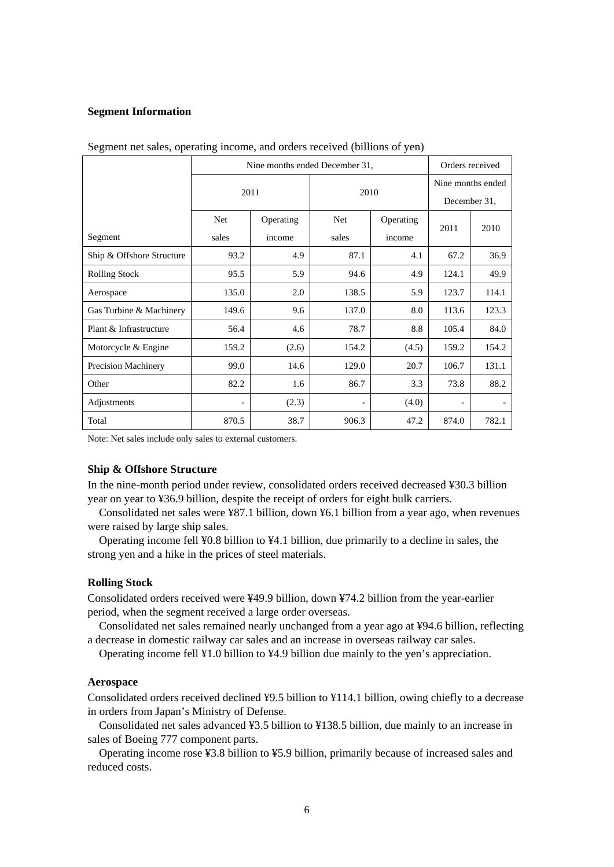#### **Segment Information**

|                            | Nine months ended December 31, |           |            |           |                          | Orders received |  |
|----------------------------|--------------------------------|-----------|------------|-----------|--------------------------|-----------------|--|
|                            | 2011                           |           | 2010       |           | Nine months ended        |                 |  |
|                            |                                |           |            |           | December 31,             |                 |  |
|                            | <b>Net</b>                     | Operating | <b>Net</b> | Operating | 2011                     | 2010            |  |
| Segment                    | sales                          | income    | sales      | income    |                          |                 |  |
| Ship & Offshore Structure  | 93.2                           | 4.9       | 87.1       | 4.1       | 67.2                     | 36.9            |  |
| <b>Rolling Stock</b>       | 95.5                           | 5.9       | 94.6       | 4.9       | 124.1                    | 49.9            |  |
| Aerospace                  | 135.0                          | 2.0       | 138.5      | 5.9       | 123.7                    | 114.1           |  |
| Gas Turbine & Machinery    | 149.6                          | 9.6       | 137.0      | 8.0       | 113.6                    | 123.3           |  |
| Plant & Infrastructure     | 56.4                           | 4.6       | 78.7       | 8.8       | 105.4                    | 84.0            |  |
| Motorcycle & Engine        | 159.2                          | (2.6)     | 154.2      | (4.5)     | 159.2                    | 154.2           |  |
| <b>Precision Machinery</b> | 99.0                           | 14.6      | 129.0      | 20.7      | 106.7                    | 131.1           |  |
| Other                      | 82.2                           | 1.6       | 86.7       | 3.3       | 73.8                     | 88.2            |  |
| Adjustments                |                                | (2.3)     |            | (4.0)     | $\overline{\phantom{a}}$ |                 |  |
| Total                      | 870.5                          | 38.7      | 906.3      | 47.2      | 874.0                    | 782.1           |  |

Segment net sales, operating income, and orders received (billions of yen)

Note: Net sales include only sales to external customers.

#### **Ship & Offshore Structure**

In the nine-month period under review, consolidated orders received decreased ¥30.3 billion year on year to ¥36.9 billion, despite the receipt of orders for eight bulk carriers.

Consolidated net sales were ¥87.1 billion, down ¥6.1 billion from a year ago, when revenues were raised by large ship sales.

Operating income fell ¥0.8 billion to ¥4.1 billion, due primarily to a decline in sales, the strong yen and a hike in the prices of steel materials.

### **Rolling Stock**

Consolidated orders received were ¥49.9 billion, down ¥74.2 billion from the year-earlier period, when the segment received a large order overseas.

Consolidated net sales remained nearly unchanged from a year ago at ¥94.6 billion, reflecting a decrease in domestic railway car sales and an increase in overseas railway car sales.

Operating income fell ¥1.0 billion to ¥4.9 billion due mainly to the yen's appreciation.

### **Aerospace**

Consolidated orders received declined ¥9.5 billion to ¥114.1 billion, owing chiefly to a decrease in orders from Japan's Ministry of Defense.

Consolidated net sales advanced ¥3.5 billion to ¥138.5 billion, due mainly to an increase in sales of Boeing 777 component parts.

Operating income rose ¥3.8 billion to ¥5.9 billion, primarily because of increased sales and reduced costs.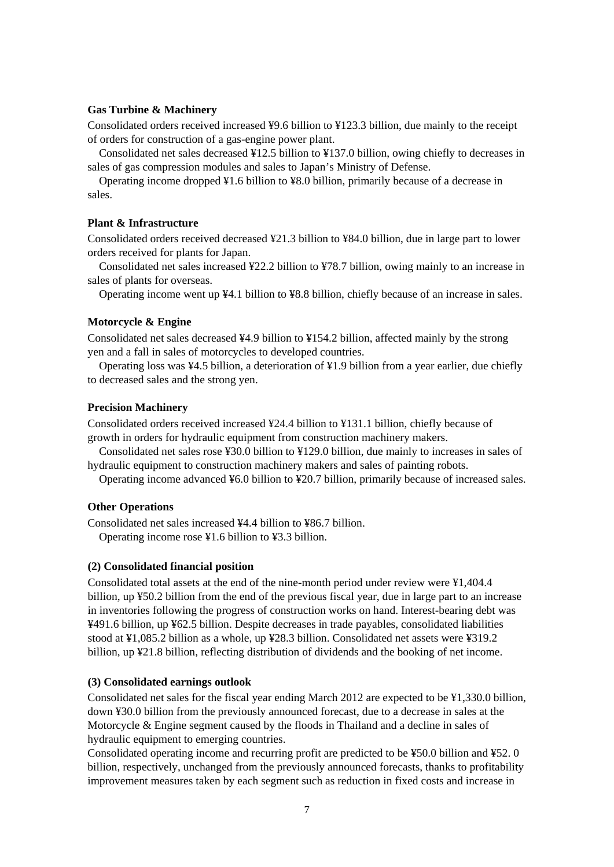### **Gas Turbine & Machinery**

Consolidated orders received increased ¥9.6 billion to ¥123.3 billion, due mainly to the receipt of orders for construction of a gas-engine power plant.

Consolidated net sales decreased ¥12.5 billion to ¥137.0 billion, owing chiefly to decreases in sales of gas compression modules and sales to Japan's Ministry of Defense.

Operating income dropped ¥1.6 billion to ¥8.0 billion, primarily because of a decrease in sales.

### **Plant & Infrastructure**

Consolidated orders received decreased ¥21.3 billion to ¥84.0 billion, due in large part to lower orders received for plants for Japan.

Consolidated net sales increased ¥22.2 billion to ¥78.7 billion, owing mainly to an increase in sales of plants for overseas.

Operating income went up ¥4.1 billion to ¥8.8 billion, chiefly because of an increase in sales.

### **Motorcycle & Engine**

Consolidated net sales decreased ¥4.9 billion to ¥154.2 billion, affected mainly by the strong yen and a fall in sales of motorcycles to developed countries.

Operating loss was ¥4.5 billion, a deterioration of ¥1.9 billion from a year earlier, due chiefly to decreased sales and the strong yen.

### **Precision Machinery**

Consolidated orders received increased ¥24.4 billion to ¥131.1 billion, chiefly because of growth in orders for hydraulic equipment from construction machinery makers.

Consolidated net sales rose ¥30.0 billion to ¥129.0 billion, due mainly to increases in sales of hydraulic equipment to construction machinery makers and sales of painting robots.

Operating income advanced ¥6.0 billion to ¥20.7 billion, primarily because of increased sales.

### **Other Operations**

Consolidated net sales increased ¥4.4 billion to ¥86.7 billion. Operating income rose ¥1.6 billion to ¥3.3 billion.

### **(2) Consolidated financial position**

Consolidated total assets at the end of the nine-month period under review were ¥1,404.4 billion, up ¥50.2 billion from the end of the previous fiscal year, due in large part to an increase in inventories following the progress of construction works on hand. Interest-bearing debt was ¥491.6 billion, up ¥62.5 billion. Despite decreases in trade payables, consolidated liabilities stood at ¥1,085.2 billion as a whole, up ¥28.3 billion. Consolidated net assets were ¥319.2 billion, up ¥21.8 billion, reflecting distribution of dividends and the booking of net income.

#### **(3) Consolidated earnings outlook**

Consolidated net sales for the fiscal year ending March 2012 are expected to be ¥1,330.0 billion, down ¥30.0 billion from the previously announced forecast, due to a decrease in sales at the Motorcycle & Engine segment caused by the floods in Thailand and a decline in sales of hydraulic equipment to emerging countries.

Consolidated operating income and recurring profit are predicted to be ¥50.0 billion and ¥52. 0 billion, respectively, unchanged from the previously announced forecasts, thanks to profitability improvement measures taken by each segment such as reduction in fixed costs and increase in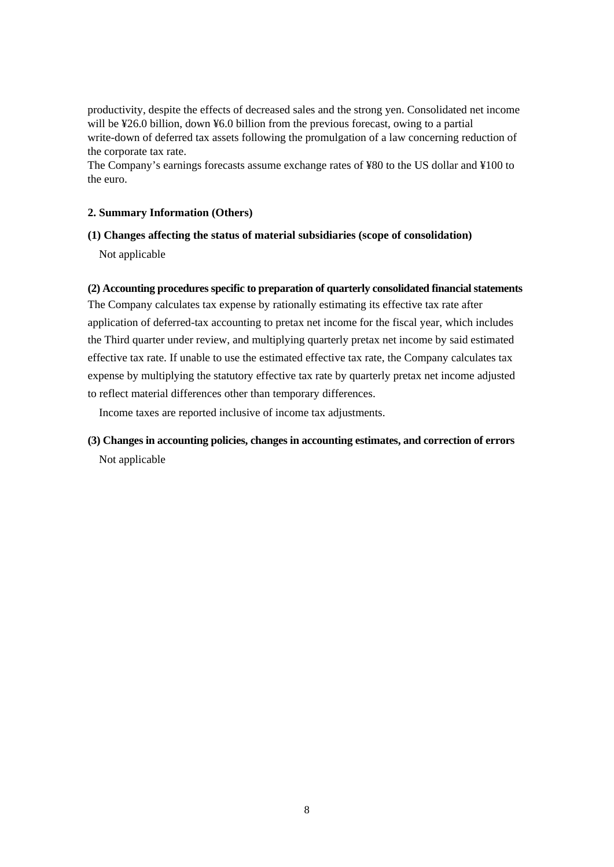productivity, despite the effects of decreased sales and the strong yen. Consolidated net income will be ¥26.0 billion, down ¥6.0 billion from the previous forecast, owing to a partial write-down of deferred tax assets following the promulgation of a law concerning reduction of the corporate tax rate.

The Company's earnings forecasts assume exchange rates of ¥80 to the US dollar and ¥100 to the euro.

## **2. Summary Information (Others)**

## **(1) Changes affecting the status of material subsidiaries (scope of consolidation)**

Not applicable

## **(2) Accounting procedures specific to preparation of quarterly consolidated financial statements**

The Company calculates tax expense by rationally estimating its effective tax rate after application of deferred-tax accounting to pretax net income for the fiscal year, which includes the Third quarter under review, and multiplying quarterly pretax net income by said estimated effective tax rate. If unable to use the estimated effective tax rate, the Company calculates tax expense by multiplying the statutory effective tax rate by quarterly pretax net income adjusted to reflect material differences other than temporary differences.

Income taxes are reported inclusive of income tax adjustments.

# **(3) Changes in accounting policies, changes in accounting estimates, and correction of errors**  Not applicable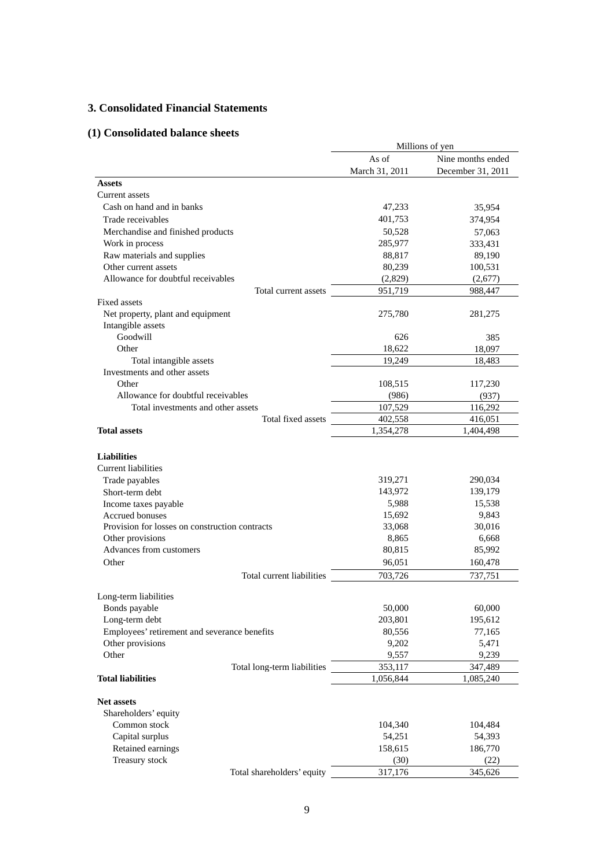## **3. Consolidated Financial Statements**

# **(1) Consolidated balance sheets**

|                                                | Millions of yen |                   |  |
|------------------------------------------------|-----------------|-------------------|--|
|                                                | As of           | Nine months ended |  |
|                                                | March 31, 2011  | December 31, 2011 |  |
| <b>Assets</b>                                  |                 |                   |  |
| Current assets                                 |                 |                   |  |
| Cash on hand and in banks                      | 47,233          | 35,954            |  |
| Trade receivables                              | 401,753         | 374,954           |  |
| Merchandise and finished products              | 50,528          | 57,063            |  |
| Work in process                                | 285,977         | 333,431           |  |
| Raw materials and supplies                     | 88,817          | 89,190            |  |
| Other current assets                           | 80,239          | 100,531           |  |
| Allowance for doubtful receivables             | (2,829)         | (2,677)           |  |
| Total current assets                           | 951,719         | 988,447           |  |
| Fixed assets                                   |                 |                   |  |
| Net property, plant and equipment              | 275,780         | 281,275           |  |
| Intangible assets                              |                 |                   |  |
| Goodwill                                       | 626             | 385               |  |
| Other                                          | 18,622          | 18,097            |  |
| Total intangible assets                        | 19,249          | 18,483            |  |
| Investments and other assets                   |                 |                   |  |
| Other                                          | 108,515         | 117,230           |  |
| Allowance for doubtful receivables             | (986)           | (937)             |  |
| Total investments and other assets             | 107,529         | 116,292           |  |
| Total fixed assets                             | 402,558         | 416,051           |  |
| <b>Total assets</b>                            | 1,354,278       | 1,404,498         |  |
|                                                |                 |                   |  |
| <b>Liabilities</b>                             |                 |                   |  |
| Current liabilities                            |                 |                   |  |
| Trade payables                                 | 319,271         | 290,034           |  |
| Short-term debt                                | 143,972         | 139,179           |  |
| Income taxes payable                           | 5,988           | 15,538            |  |
| <b>Accrued bonuses</b>                         | 15,692          | 9,843             |  |
| Provision for losses on construction contracts | 33,068          | 30,016            |  |
| Other provisions                               | 8,865           | 6,668             |  |
| Advances from customers                        | 80,815          | 85,992            |  |
| Other                                          | 96,051          | 160,478           |  |
| Total current liabilities                      | 703,726         | 737,751           |  |
|                                                |                 |                   |  |
| Long-term liabilities                          |                 |                   |  |
| Bonds payable                                  | 50,000          | 60,000            |  |
| Long-term debt                                 | 203,801         | 195,612           |  |
| Employees' retirement and severance benefits   | 80,556          | 77,165            |  |
| Other provisions                               | 9,202           | 5,471             |  |
| Other                                          | 9,557           | 9,239             |  |
| Total long-term liabilities                    | 353,117         | 347,489           |  |
| <b>Total liabilities</b>                       | 1,056,844       | 1,085,240         |  |
|                                                |                 |                   |  |
| <b>Net assets</b>                              |                 |                   |  |
| Shareholders' equity<br>Common stock           |                 |                   |  |
|                                                | 104,340         | 104,484           |  |
| Capital surplus                                | 54,251          | 54,393            |  |
| Retained earnings<br>Treasury stock            | 158,615<br>(30) | 186,770<br>(22)   |  |
| Total shareholders' equity                     | 317,176         | 345,626           |  |
|                                                |                 |                   |  |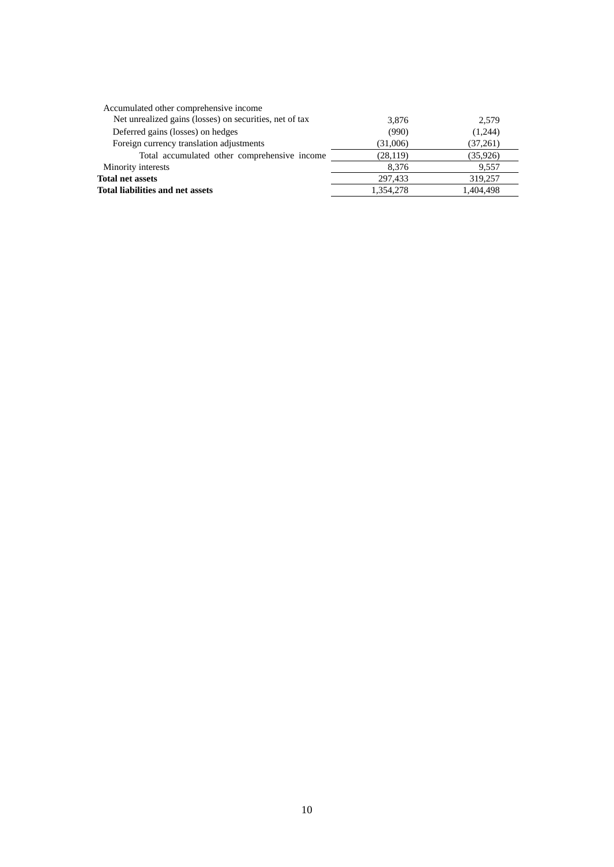| Accumulated other comprehensive income                  |           |           |
|---------------------------------------------------------|-----------|-----------|
| Net unrealized gains (losses) on securities, net of tax | 3,876     | 2,579     |
| Deferred gains (losses) on hedges                       | (990)     | (1,244)   |
| Foreign currency translation adjustments                | (31,006)  | (37,261)  |
| Total accumulated other comprehensive income            | (28, 119) | (35,926)  |
| Minority interests                                      | 8.376     | 9.557     |
| <b>Total net assets</b>                                 | 297.433   | 319,257   |
| Total liabilities and net assets                        | 1.354.278 | 1,404,498 |
|                                                         |           |           |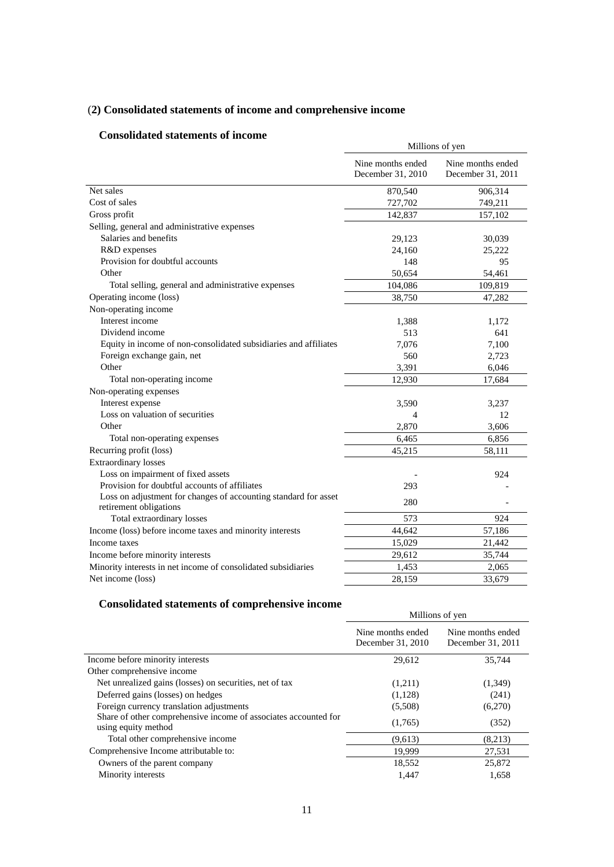# (**2) Consolidated statements of income and comprehensive income**

## **Consolidated statements of income**

| onsonuateu statements of meome                                                            | Millions of yen                        |                                        |  |
|-------------------------------------------------------------------------------------------|----------------------------------------|----------------------------------------|--|
|                                                                                           | Nine months ended<br>December 31, 2010 | Nine months ended<br>December 31, 2011 |  |
| Net sales                                                                                 | 870,540                                | 906,314                                |  |
| Cost of sales                                                                             | 727,702                                | 749,211                                |  |
| Gross profit                                                                              | 142,837                                | 157,102                                |  |
| Selling, general and administrative expenses                                              |                                        |                                        |  |
| Salaries and benefits                                                                     | 29,123                                 | 30,039                                 |  |
| R&D expenses                                                                              | 24,160                                 | 25,222                                 |  |
| Provision for doubtful accounts                                                           | 148                                    | 95                                     |  |
| Other                                                                                     | 50,654                                 | 54,461                                 |  |
| Total selling, general and administrative expenses                                        | 104,086                                | 109,819                                |  |
| Operating income (loss)                                                                   | 38,750                                 | 47,282                                 |  |
| Non-operating income                                                                      |                                        |                                        |  |
| Interest income                                                                           | 1,388                                  | 1,172                                  |  |
| Dividend income                                                                           | 513                                    | 641                                    |  |
| Equity in income of non-consolidated subsidiaries and affiliates                          | 7.076                                  | 7,100                                  |  |
| Foreign exchange gain, net                                                                | 560                                    | 2,723                                  |  |
| Other                                                                                     | 3,391                                  | 6,046                                  |  |
| Total non-operating income                                                                | 12,930                                 | 17,684                                 |  |
| Non-operating expenses                                                                    |                                        |                                        |  |
| Interest expense                                                                          | 3,590                                  | 3,237                                  |  |
| Loss on valuation of securities                                                           | 4                                      | 12                                     |  |
| Other                                                                                     | 2,870                                  | 3,606                                  |  |
| Total non-operating expenses                                                              | 6,465                                  | 6,856                                  |  |
| Recurring profit (loss)                                                                   | 45,215                                 | 58,111                                 |  |
| <b>Extraordinary losses</b>                                                               |                                        |                                        |  |
| Loss on impairment of fixed assets                                                        |                                        | 924                                    |  |
| Provision for doubtful accounts of affiliates                                             | 293                                    |                                        |  |
| Loss on adjustment for changes of accounting standard for asset<br>retirement obligations | 280                                    |                                        |  |
| Total extraordinary losses                                                                | 573                                    | 924                                    |  |
| Income (loss) before income taxes and minority interests                                  | 44,642                                 | 57,186                                 |  |
| Income taxes                                                                              | 15,029                                 | 21,442                                 |  |
| Income before minority interests                                                          | 29,612                                 | 35,744                                 |  |
| Minority interests in net income of consolidated subsidiaries                             | 1,453                                  | 2,065                                  |  |
| Net income (loss)                                                                         | 28,159                                 | 33,679                                 |  |

# **Consolidated statements of comprehensive income**

| Millions of yen                        |                                        |
|----------------------------------------|----------------------------------------|
| Nine months ended<br>December 31, 2010 | Nine months ended<br>December 31, 2011 |
| 29,612                                 | 35,744                                 |
|                                        |                                        |
| (1,211)                                | (1,349)                                |
| (1,128)                                | (241)                                  |
| (5,508)                                | (6,270)                                |
| (1,765)                                | (352)                                  |
| (9,613)                                | (8,213)                                |
| 19,999                                 | 27,531                                 |
| 18,552                                 | 25,872                                 |
| 1.447                                  | 1.658                                  |
|                                        |                                        |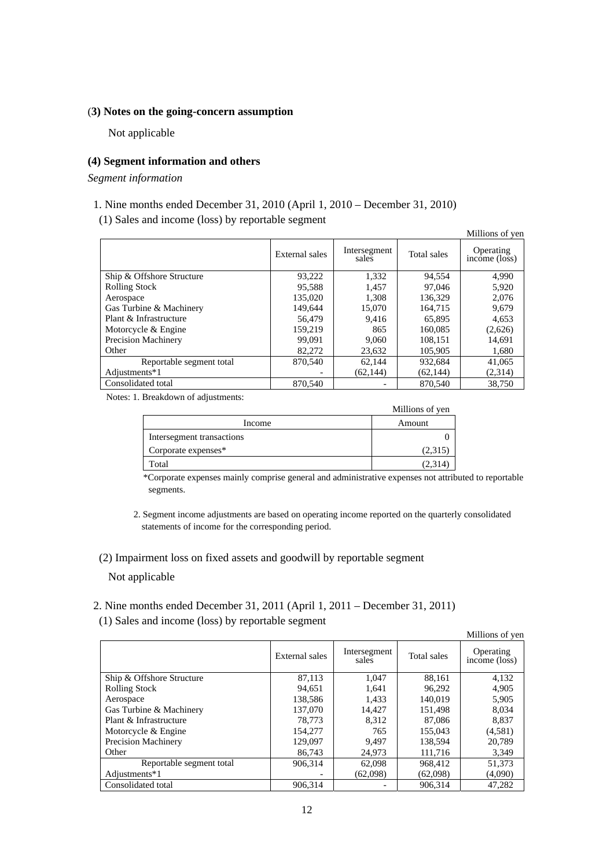### (**3) Notes on the going-concern assumption**

Not applicable

### **(4) Segment information and others**

*Segment information* 

- 1. Nine months ended December 31, 2010 (April 1, 2010 December 31, 2010)
- (1) Sales and income (loss) by reportable segment

|                           |                |                       |             | Millions of yen            |
|---------------------------|----------------|-----------------------|-------------|----------------------------|
|                           | External sales | Intersegment<br>sales | Total sales | Operating<br>income (loss) |
| Ship & Offshore Structure | 93,222         | 1,332                 | 94,554      | 4.990                      |
| <b>Rolling Stock</b>      | 95.588         | 1.457                 | 97,046      | 5,920                      |
| Aerospace                 | 135,020        | 1.308                 | 136,329     | 2,076                      |
| Gas Turbine & Machinery   | 149.644        | 15,070                | 164.715     | 9,679                      |
| Plant & Infrastructure    | 56,479         | 9.416                 | 65,895      | 4,653                      |
| Motorcycle & Engine       | 159.219        | 865                   | 160,085     | (2,626)                    |
| Precision Machinery       | 99,091         | 9.060                 | 108.151     | 14,691                     |
| Other                     | 82,272         | 23,632                | 105,905     | 1,680                      |
| Reportable segment total  | 870,540        | 62,144                | 932,684     | 41,065                     |
| Adjustments*1             |                | (62, 144)             | (62, 144)   | (2,314)                    |
| Consolidated total        | 870,540        |                       | 870,540     | 38,750                     |

Notes: 1. Breakdown of adjustments:

| --                        | Millions of yen |
|---------------------------|-----------------|
| Income                    | Amount          |
| Intersegment transactions |                 |
| Corporate expenses*       | (2,315)         |
| Total                     | (2,314          |

\*Corporate expenses mainly comprise general and administrative expenses not attributed to reportable segments.

2. Segment income adjustments are based on operating income reported on the quarterly consolidated statements of income for the corresponding period.

# (2) Impairment loss on fixed assets and goodwill by reportable segment Not applicable

2. Nine months ended December 31, 2011 (April 1, 2011 – December 31, 2011) (1) Sales and income (loss) by reportable segment

|                            |                |                       |             | Millions of yen            |
|----------------------------|----------------|-----------------------|-------------|----------------------------|
|                            | External sales | Intersegment<br>sales | Total sales | Operating<br>income (loss) |
| Ship & Offshore Structure  | 87.113         | 1.047                 | 88.161      | 4,132                      |
| <b>Rolling Stock</b>       | 94.651         | 1.641                 | 96,292      | 4,905                      |
| Aerospace                  | 138.586        | 1.433                 | 140,019     | 5,905                      |
| Gas Turbine & Machinery    | 137,070        | 14.427                | 151.498     | 8.034                      |
| Plant & Infrastructure     | 78,773         | 8.312                 | 87,086      | 8.837                      |
| Motorcycle & Engine        | 154,277        | 765                   | 155.043     | (4,581)                    |
| <b>Precision Machinery</b> | 129,097        | 9.497                 | 138.594     | 20.789                     |
| Other                      | 86,743         | 24,973                | 111,716     | 3,349                      |
| Reportable segment total   | 906.314        | 62,098                | 968,412     | 51,373                     |
| Adjustments*1              |                | (62,098)              | (62,098)    | (4,090)                    |
| Consolidated total         | 906.314        |                       | 906.314     | 47.282                     |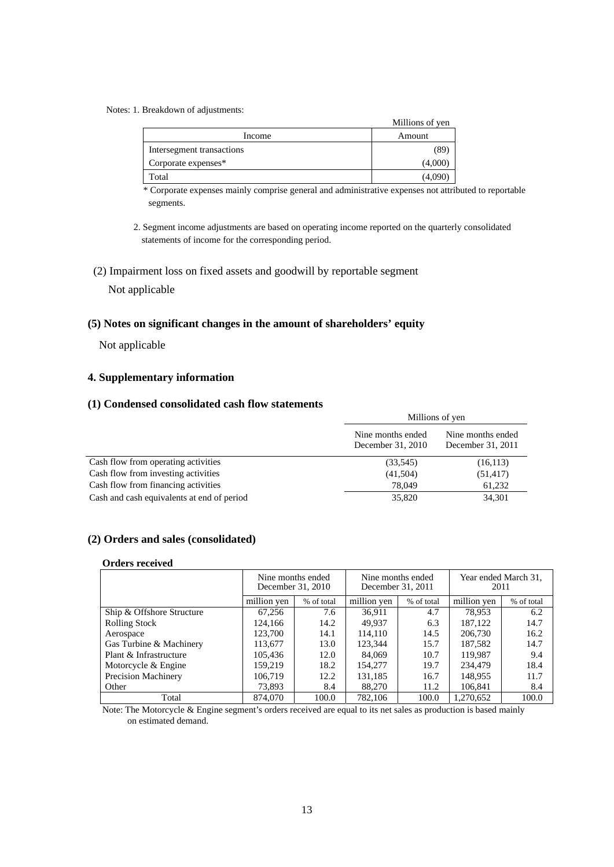#### Notes: 1. Breakdown of adjustments:

|                           | Millions of yen |
|---------------------------|-----------------|
| Income                    | Amount          |
| Intersegment transactions |                 |
| Corporate expenses*       | (4,000          |
| Total                     | 14.09           |

\* Corporate expenses mainly comprise general and administrative expenses not attributed to reportable segments.

- 2. Segment income adjustments are based on operating income reported on the quarterly consolidated statements of income for the corresponding period.
- (2) Impairment loss on fixed assets and goodwill by reportable segment

### Not applicable

### **(5) Notes on significant changes in the amount of shareholders' equity**

Not applicable

## **4. Supplementary information**

### **(1) Condensed consolidated cash flow statements**

|                                            | Millions of yen                        |                                        |  |
|--------------------------------------------|----------------------------------------|----------------------------------------|--|
|                                            | Nine months ended<br>December 31, 2010 | Nine months ended<br>December 31, 2011 |  |
| Cash flow from operating activities        | (33,545)                               | (16, 113)                              |  |
| Cash flow from investing activities        | (41,504)                               | (51, 417)                              |  |
| Cash flow from financing activities        | 78,049                                 | 61,232                                 |  |
| Cash and cash equivalents at end of period | 35,820                                 | 34,301                                 |  |

### **(2) Orders and sales (consolidated)**

#### **Orders received**

|                           |             | Nine months ended<br>December 31, 2010 | December 31, 2011 | Nine months ended | 2011        | Year ended March 31, |
|---------------------------|-------------|----------------------------------------|-------------------|-------------------|-------------|----------------------|
|                           | million yen | % of total                             | million yen       | % of total        | million yen | % of total           |
| Ship & Offshore Structure | 67,256      | 7.6                                    | 36.911            | 4.7               | 78,953      | 6.2                  |
| Rolling Stock             | 124,166     | 14.2                                   | 49,937            | 6.3               | 187,122     | 14.7                 |
| Aerospace                 | 123,700     | 14.1                                   | 114.110           | 14.5              | 206,730     | 16.2                 |
| Gas Turbine & Machinery   | 113,677     | 13.0                                   | 123,344           | 15.7              | 187,582     | 14.7                 |
| Plant & Infrastructure    | 105,436     | 12.0                                   | 84,069            | 10.7              | 119.987     | 9.4                  |
| Motorcycle & Engine       | 159.219     | 18.2                                   | 154,277           | 19.7              | 234,479     | 18.4                 |
| Precision Machinery       | 106,719     | 12.2                                   | 131,185           | 16.7              | 148,955     | 11.7                 |
| Other                     | 73,893      | 8.4                                    | 88,270            | 11.2              | 106,841     | 8.4                  |
| Total                     | 874,070     | 100.0                                  | 782.106           | 100.0             | 1,270,652   | 100.0                |

Note: The Motorcycle & Engine segment's orders received are equal to its net sales as production is based mainly on estimated demand.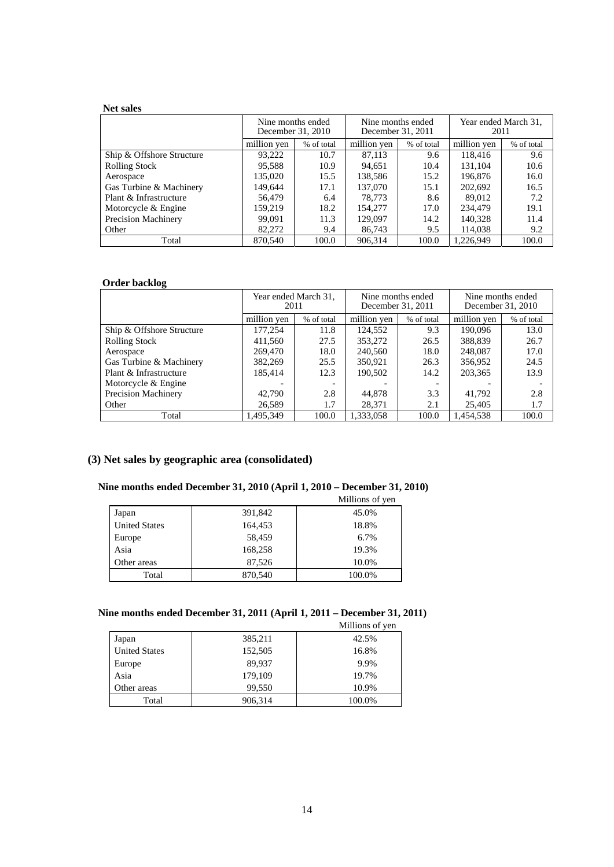### **Net sales**

|                            |             | Nine months ended<br>December 31, 2010 | Nine months ended<br>December 31, 2011 |            | Year ended March 31,<br>2011 |            |
|----------------------------|-------------|----------------------------------------|----------------------------------------|------------|------------------------------|------------|
|                            | million yen | % of total                             | million yen                            | % of total | million yen                  | % of total |
| Ship & Offshore Structure  | 93,222      | 10.7                                   | 87,113                                 | 9.6        | 118,416                      | 9.6        |
| <b>Rolling Stock</b>       | 95,588      | 10.9                                   | 94,651                                 | 10.4       | 131,104                      | 10.6       |
| Aerospace                  | 135,020     | 15.5                                   | 138,586                                | 15.2       | 196,876                      | 16.0       |
| Gas Turbine & Machinery    | 149.644     | 17.1                                   | 137,070                                | 15.1       | 202,692                      | 16.5       |
| Plant & Infrastructure     | 56,479      | 6.4                                    | 78.773                                 | 8.6        | 89.012                       | 7.2        |
| Motorcycle & Engine        | 159.219     | 18.2                                   | 154,277                                | 17.0       | 234,479                      | 19.1       |
| <b>Precision Machinery</b> | 99.091      | 11.3                                   | 129,097                                | 14.2       | 140,328                      | 11.4       |
| Other                      | 82,272      | 9.4                                    | 86,743                                 | 9.5        | 114.038                      | 9.2        |
| Total                      | 870,540     | 100.0                                  | 906,314                                | 100.0      | 1.226.949                    | 100.0      |

#### **Order backlog**

|                            | 2011        | Year ended March 31, | Nine months ended<br>December 31, 2011 |            | Nine months ended<br>December 31, 2010 |            |
|----------------------------|-------------|----------------------|----------------------------------------|------------|----------------------------------------|------------|
|                            | million yen | % of total           | million yen                            | % of total | million yen                            | % of total |
| Ship & Offshore Structure  | 177,254     | 11.8                 | 124,552                                | 9.3        | 190,096                                | 13.0       |
| <b>Rolling Stock</b>       | 411,560     | 27.5                 | 353,272                                | 26.5       | 388,839                                | 26.7       |
| Aerospace                  | 269,470     | 18.0                 | 240,560                                | 18.0       | 248,087                                | 17.0       |
| Gas Turbine & Machinery    | 382,269     | 25.5                 | 350,921                                | 26.3       | 356,952                                | 24.5       |
| Plant & Infrastructure     | 185,414     | 12.3                 | 190,502                                | 14.2       | 203,365                                | 13.9       |
| Motorcycle & Engine        |             |                      |                                        |            |                                        |            |
| <b>Precision Machinery</b> | 42,790      | 2.8                  | 44,878                                 | 3.3        | 41,792                                 | 2.8        |
| Other                      | 26,589      | 1.7                  | 28,371                                 | 2.1        | 25,405                                 | 1.7        |
| Total                      | 1.495.349   | 100.0                | 1.333.058                              | 100.0      | 1.454.538                              | 100.0      |

# **(3) Net sales by geographic area (consolidated)**

## **Nine months ended December 31, 2010 (April 1, 2010 – December 31, 2010)**

|                      |         | Millions of yen |
|----------------------|---------|-----------------|
| Japan                | 391,842 | 45.0%           |
| <b>United States</b> | 164,453 | 18.8%           |
| Europe               | 58,459  | 6.7%            |
| Asia                 | 168,258 | 19.3%           |
| Other areas          | 87,526  | 10.0%           |
| Total                | 870,540 | 100.0%          |

## **Nine months ended December 31, 2011 (April 1, 2011 – December 31, 2011)**

|                      |         | Millions of yen |
|----------------------|---------|-----------------|
| Japan                | 385,211 | 42.5%           |
| <b>United States</b> | 152,505 | 16.8%           |
| Europe               | 89,937  | 9.9%            |
| Asia                 | 179,109 | 19.7%           |
| Other areas          | 99.550  | 10.9%           |
| Total                | 906,314 | 100.0%          |